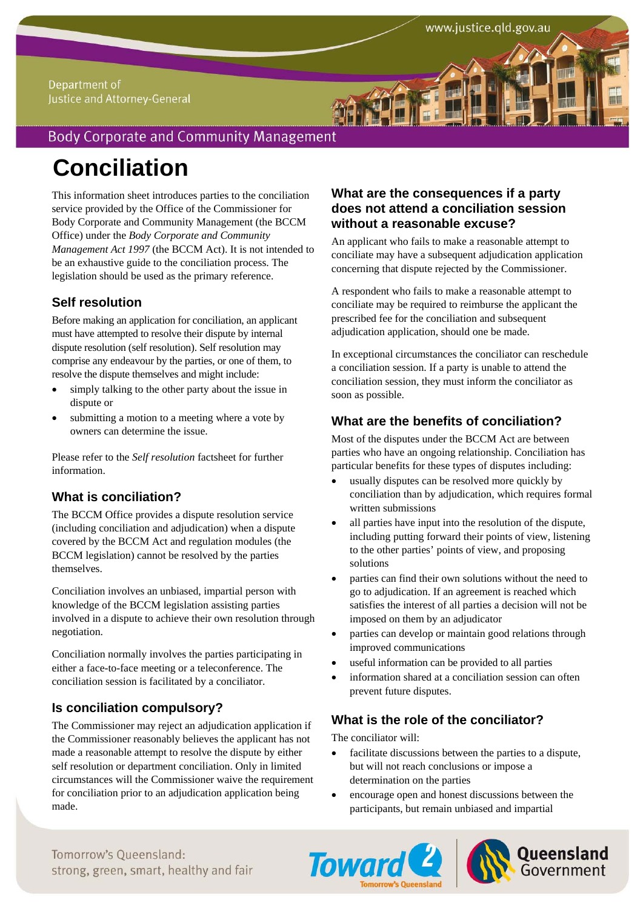#### Department of Justice and Attorney-General

## **Body Corporate and Community Management**

# **Conciliation**

This information sheet introduces parties to the conciliation service provided by the Office of the Commissioner for Body Corporate and Community Management (the BCCM Office) under the *Body Corporate and Community Management Act 1997* (the BCCM Act). It is not intended to be an exhaustive guide to the conciliation process. The legislation should be used as the primary reference.

## **Self resolution**

Before making an application for conciliation, an applicant must have attempted to resolve their dispute by internal dispute resolution (self resolution). Self resolution may comprise any endeavour by the parties, or one of them, to resolve the dispute themselves and might include:

- simply talking to the other party about the issue in dispute or
- submitting a motion to a meeting where a vote by owners can determine the issue.

Please refer to the *Self resolution* factsheet for further information.

### **What is conciliation?**

The BCCM Office provides a dispute resolution service (including conciliation and adjudication) when a dispute covered by the BCCM Act and regulation modules (the BCCM legislation) cannot be resolved by the parties themselves.

Conciliation involves an unbiased, impartial person with knowledge of the BCCM legislation assisting parties involved in a dispute to achieve their own resolution through negotiation.

Conciliation normally involves the parties participating in either a face-to-face meeting or a teleconference. The conciliation session is facilitated by a conciliator.

### **Is conciliation compulsory?**

The Commissioner may reject an adjudication application if the Commissioner reasonably believes the applicant has not made a reasonable attempt to resolve the dispute by either self resolution or department conciliation. Only in limited circumstances will the Commissioner waive the requirement for conciliation prior to an adjudication application being made.

#### **What are the consequences if a party does not attend a conciliation session without a reasonable excuse?**

An applicant who fails to make a reasonable attempt to conciliate may have a subsequent adjudication application concerning that dispute rejected by the Commissioner.

A respondent who fails to make a reasonable attempt to conciliate may be required to reimburse the applicant the prescribed fee for the conciliation and subsequent adjudication application, should one be made.

In exceptional circumstances the conciliator can reschedule a conciliation session. If a party is unable to attend the conciliation session, they must inform the conciliator as soon as possible.

## **What are the benefits of conciliation?**

Most of the disputes under the BCCM Act are between parties who have an ongoing relationship. Conciliation has particular benefits for these types of disputes including:

- usually disputes can be resolved more quickly by conciliation than by adjudication, which requires formal written submissions
- all parties have input into the resolution of the dispute, including putting forward their points of view, listening to the other parties' points of view, and proposing solutions
- parties can find their own solutions without the need to go to adjudication. If an agreement is reached which satisfies the interest of all parties a decision will not be imposed on them by an adjudicator
- parties can develop or maintain good relations through improved communications
- useful information can be provided to all parties
- information shared at a conciliation session can often prevent future disputes.

#### **What is the role of the conciliator?**

The conciliator will:

- facilitate discussions between the parties to a dispute, but will not reach conclusions or impose a determination on the parties
- encourage open and honest discussions between the participants, but remain unbiased and impartial





Tomorrow's Oueensland: strong, green, smart, healthy and fair